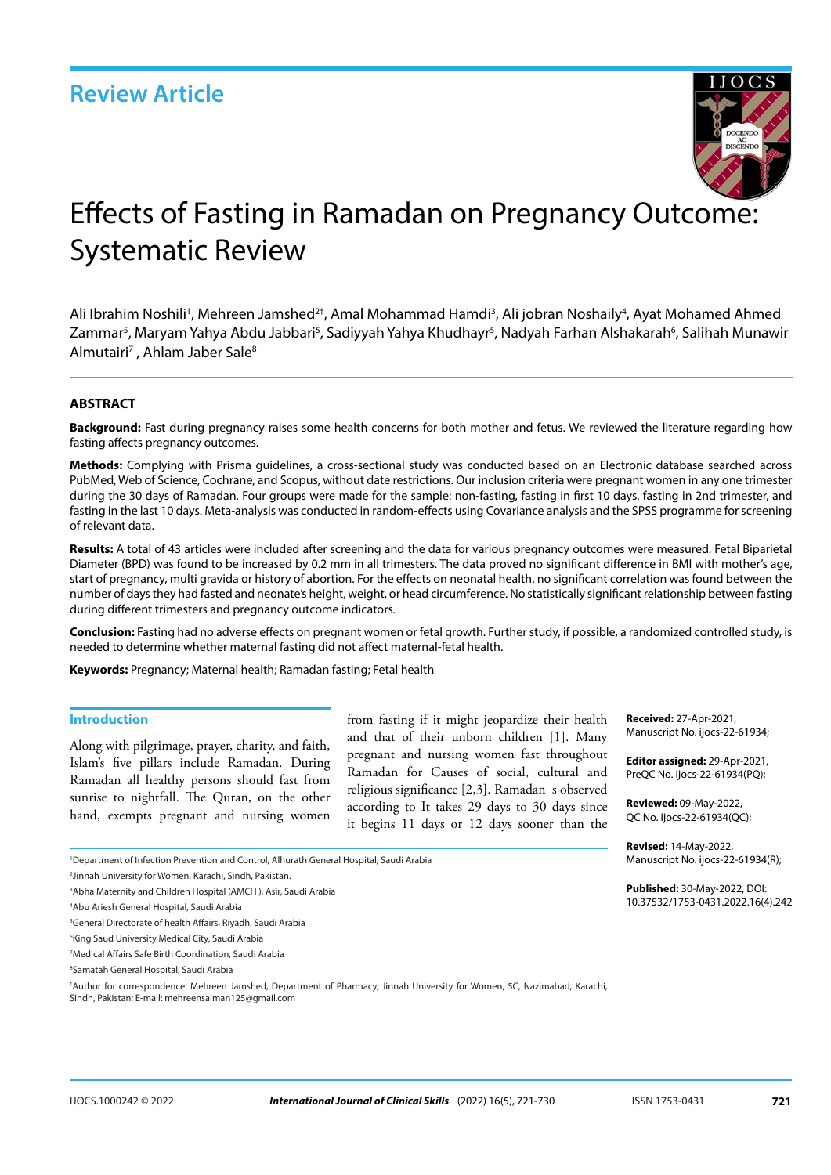

# Effects of Fasting in Ramadan on Pregnancy Outcome: Systematic Review

Ali Ibrahim Noshili<sup>1</sup>, Mehreen Jamshed<sup>2†</sup>, Amal Mohammad Hamdi<sup>3</sup>, Ali jobran Noshaily<sup>4</sup>, Ayat Mohamed Ahmed Zammar<sup>5</sup>, Maryam Yahya Abdu Jabbari<sup>5</sup>, Sadiyyah Yahya Khudhayr<sup>5</sup>, Nadyah Farhan Alshakarah<sup>6</sup>, Salihah Munawir Almutairi<sup>7</sup>, Ahlam Jaber Sale<sup>8</sup>

### **ABSTRACT**

**Background:** Fast during pregnancy raises some health concerns for both mother and fetus. We reviewed the literature regarding how fasting affects pregnancy outcomes.

**Methods:** Complying with Prisma guidelines, a cross-sectional study was conducted based on an Electronic database searched across PubMed, Web of Science, Cochrane, and Scopus, without date restrictions. Our inclusion criteria were pregnant women in any one trimester during the 30 days of Ramadan. Four groups were made for the sample: non-fasting, fasting in first 10 days, fasting in 2nd trimester, and fasting in the last 10 days. Meta-analysis was conducted in random-effects using Covariance analysis and the SPSS programme for screening of relevant data.

**Results:** A total of 43 articles were included after screening and the data for various pregnancy outcomes were measured. Fetal Biparietal Diameter (BPD) was found to be increased by 0.2 mm in all trimesters. The data proved no significant difference in BMI with mother's age, start of pregnancy, multi gravida or history of abortion. For the effects on neonatal health, no significant correlation was found between the number of days they had fasted and neonate's height, weight, or head circumference. No statistically significant relationship between fasting during different trimesters and pregnancy outcome indicators.

**Conclusion:** Fasting had no adverse effects on pregnant women or fetal growth. Further study, if possible, a randomized controlled study, is needed to determine whether maternal fasting did not affect maternal-fetal health.

**Keywords:** Pregnancy; Maternal health; Ramadan fasting; Fetal health

### **Introduction**

Along with pilgrimage, prayer, charity, and faith, Islam's five pillars include Ramadan. During Ramadan all healthy persons should fast from sunrise to nightfall. The Quran, on the other hand, exempts pregnant and nursing women

from fasting if it might jeopardize their health and that of their unborn children [1]. Many pregnant and nursing women fast throughout Ramadan for Causes of social, cultural and religious significance [2,3]. Ramadan s observed according to It takes 29 days to 30 days since it begins 11 days or 12 days sooner than the **Received:** 27-Apr-2021, Manuscript No. ijocs-22-61934;

**Editor assigned:** 29-Apr-2021, PreQC No. ijocs-22-61934(PQ);

**Reviewed:** 09-May-2022, QC No. ijocs-22-61934(QC);

**Revised:** 14-May-2022, Manuscript No. ijocs-22-61934(R);

**Published:** 30-May-2022, DOI: 10.37532/1753-0431.2022.16(4).242

1 Department of Infection Prevention and Control, Alhurath General Hospital, Saudi Arabia

4 Abu Ariesh General Hospital, Saudi Arabia

<sup>2</sup> Jinnah University for Women, Karachi, Sindh, Pakistan.

<sup>3</sup> Abha Maternity and Children Hospital (AMCH ), Asir, Saudi Arabia

<sup>5</sup> General Directorate of health Affairs, Riyadh, Saudi Arabia

<sup>6</sup> King Saud University Medical City, Saudi Arabia

<sup>7</sup> Medical Affairs Safe Birth Coordination, Saudi Arabia

<sup>8</sup> Samatah General Hospital, Saudi Arabia

<sup>†</sup> Author for correspondence: Mehreen Jamshed, Department of Pharmacy, Jinnah University for Women, 5C, Nazimabad, Karachi, Sindh, Pakistan; E-mail: mehreensalman125@gmail.com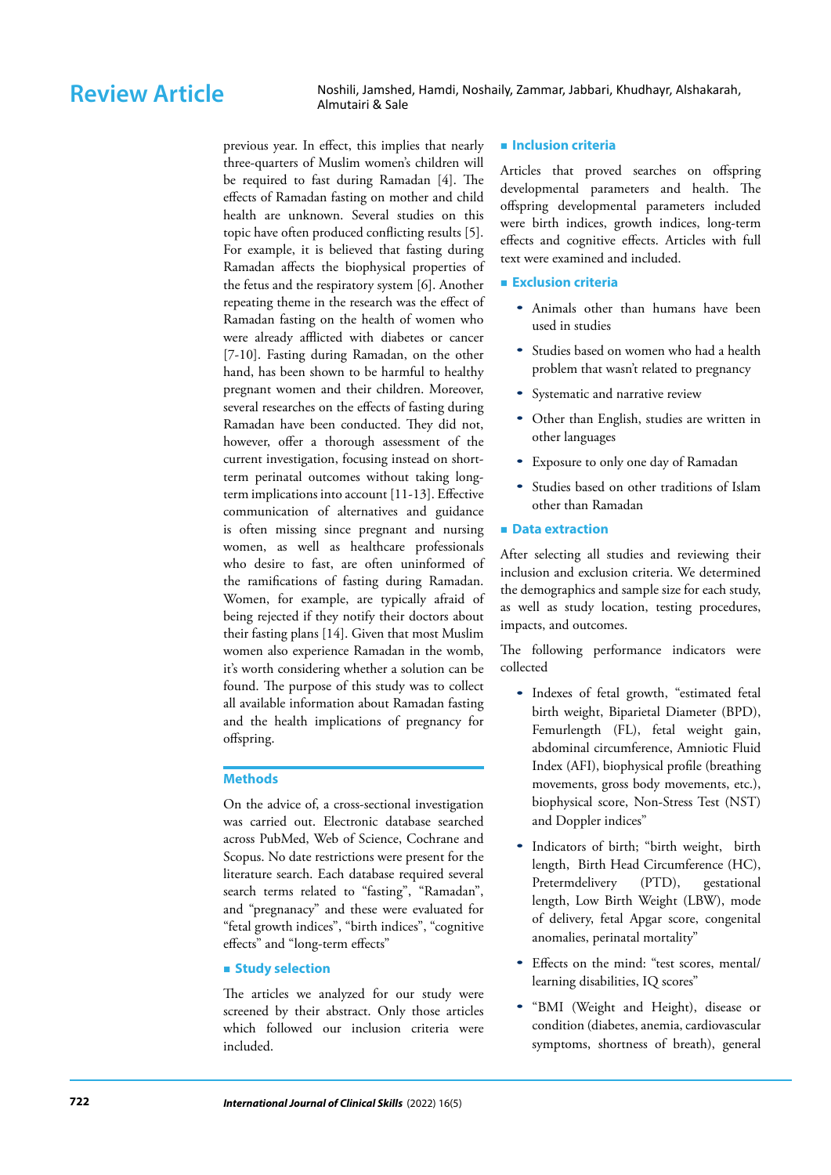Review Article Noshili, Jamshed, Hamdi, Noshaily, Zammar, Jabbari, Khudhayr, Alshakarah, Almutairi & Sale

> previous year. In effect, this implies that nearly three-quarters of Muslim women's children will be required to fast during Ramadan [4]. The effects of Ramadan fasting on mother and child health are unknown. Several studies on this topic have often produced conflicting results [5]. For example, it is believed that fasting during Ramadan affects the biophysical properties of the fetus and the respiratory system [6]. Another repeating theme in the research was the effect of Ramadan fasting on the health of women who were already afflicted with diabetes or cancer [7-10]. Fasting during Ramadan, on the other hand, has been shown to be harmful to healthy pregnant women and their children. Moreover, several researches on the effects of fasting during Ramadan have been conducted. They did not, however, offer a thorough assessment of the current investigation, focusing instead on shortterm perinatal outcomes without taking longterm implications into account [11-13]. Effective communication of alternatives and guidance is often missing since pregnant and nursing women, as well as healthcare professionals who desire to fast, are often uninformed of the ramifications of fasting during Ramadan. Women, for example, are typically afraid of being rejected if they notify their doctors about their fasting plans [14]. Given that most Muslim women also experience Ramadan in the womb, it's worth considering whether a solution can be found. The purpose of this study was to collect all available information about Ramadan fasting and the health implications of pregnancy for offspring.

### **Methods**

On the advice of, a cross-sectional investigation was carried out. Electronic database searched across PubMed, Web of Science, Cochrane and Scopus. No date restrictions were present for the literature search. Each database required several search terms related to "fasting", "Ramadan", and "pregnanacy" and these were evaluated for "fetal growth indices", "birth indices", "cognitive effects" and "long-term effects"

### **Study selection**

The articles we analyzed for our study were screened by their abstract. Only those articles which followed our inclusion criteria were included.

### **Inclusion criteria**

Articles that proved searches on offspring developmental parameters and health. The offspring developmental parameters included were birth indices, growth indices, long-term effects and cognitive effects. Articles with full text were examined and included.

### **Exclusion criteria**

- Animals other than humans have been used in studies
- Studies based on women who had a health problem that wasn't related to pregnancy
- Systematic and narrative review
- Other than English, studies are written in other languages
- Exposure to only one day of Ramadan
- Studies based on other traditions of Islam other than Ramadan

### **Data extraction**

After selecting all studies and reviewing their inclusion and exclusion criteria. We determined the demographics and sample size for each study, as well as study location, testing procedures, impacts, and outcomes.

The following performance indicators were collected

- Indexes of fetal growth, "estimated fetal birth weight, Biparietal Diameter (BPD), Femurlength (FL), fetal weight gain, abdominal circumference, Amniotic Fluid Index (AFI), biophysical profile (breathing movements, gross body movements, etc.), biophysical score, Non-Stress Test (NST) and Doppler indices"
- Indicators of birth; "birth weight, birth length, Birth Head Circumference (HC), Pretermdelivery (PTD), gestational length, Low Birth Weight (LBW), mode of delivery, fetal Apgar score, congenital anomalies, perinatal mortality"
- Effects on the mind: "test scores, mental/ learning disabilities, IQ scores"
- "BMI (Weight and Height), disease or condition (diabetes, anemia, cardiovascular symptoms, shortness of breath), general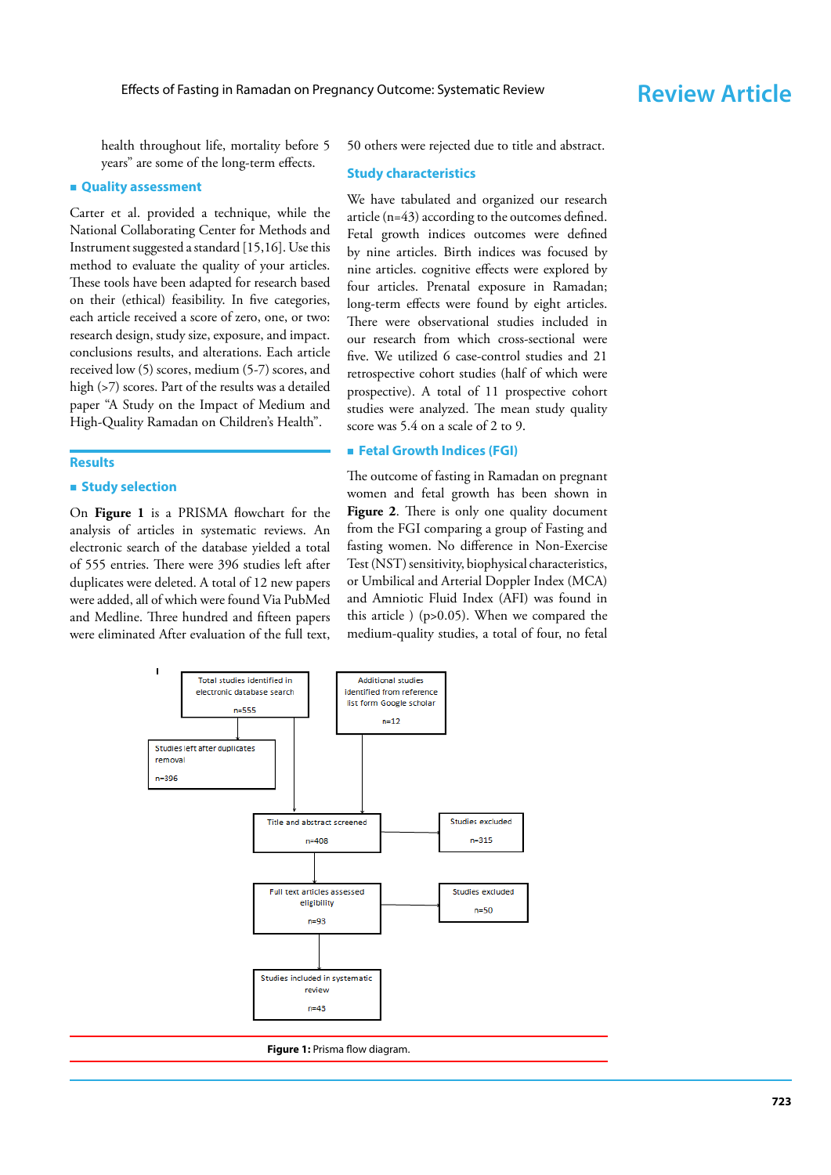health throughout life, mortality before 5 years" are some of the long-term effects.

### **Quality assessment**

Carter et al. provided a technique, while the National Collaborating Center for Methods and Instrument suggested a standard [15,16]. Use this method to evaluate the quality of your articles. These tools have been adapted for research based on their (ethical) feasibility. In five categories, each article received a score of zero, one, or two: research design, study size, exposure, and impact. conclusions results, and alterations. Each article received low (5) scores, medium (5-7) scores, and high (>7) scores. Part of the results was a detailed paper "A Study on the Impact of Medium and High-Quality Ramadan on Children's Health".

### **Results**

### $\blacksquare$  **Study selection**

On **Figure 1** is a PRISMA flowchart for the analysis of articles in systematic reviews. An electronic search of the database yielded a total of 555 entries. There were 396 studies left after duplicates were deleted. A total of 12 new papers were added, all of which were found Via PubMed and Medline. Three hundred and fifteen papers were eliminated After evaluation of the full text,

50 others were rejected due to title and abstract.

### **Study characteristics**

We have tabulated and organized our research article (n=43) according to the outcomes defined. Fetal growth indices outcomes were defined by nine articles. Birth indices was focused by nine articles. cognitive effects were explored by four articles. Prenatal exposure in Ramadan; long-term effects were found by eight articles. There were observational studies included in our research from which cross-sectional were five. We utilized 6 case-control studies and 21 retrospective cohort studies (half of which were prospective). A total of 11 prospective cohort studies were analyzed. The mean study quality score was 5.4 on a scale of 2 to 9.

### **Fetal Growth Indices (FGI)**

The outcome of fasting in Ramadan on pregnant women and fetal growth has been shown in Figure 2. There is only one quality document from the FGI comparing a group of Fasting and fasting women. No difference in Non-Exercise Test (NST) sensitivity, biophysical characteristics, or Umbilical and Arterial Doppler Index (MCA) and Amniotic Fluid Index (AFI) was found in this article ) (p>0.05). When we compared the medium-quality studies, a total of four, no fetal



**Figure 1:** Prisma flow diagram.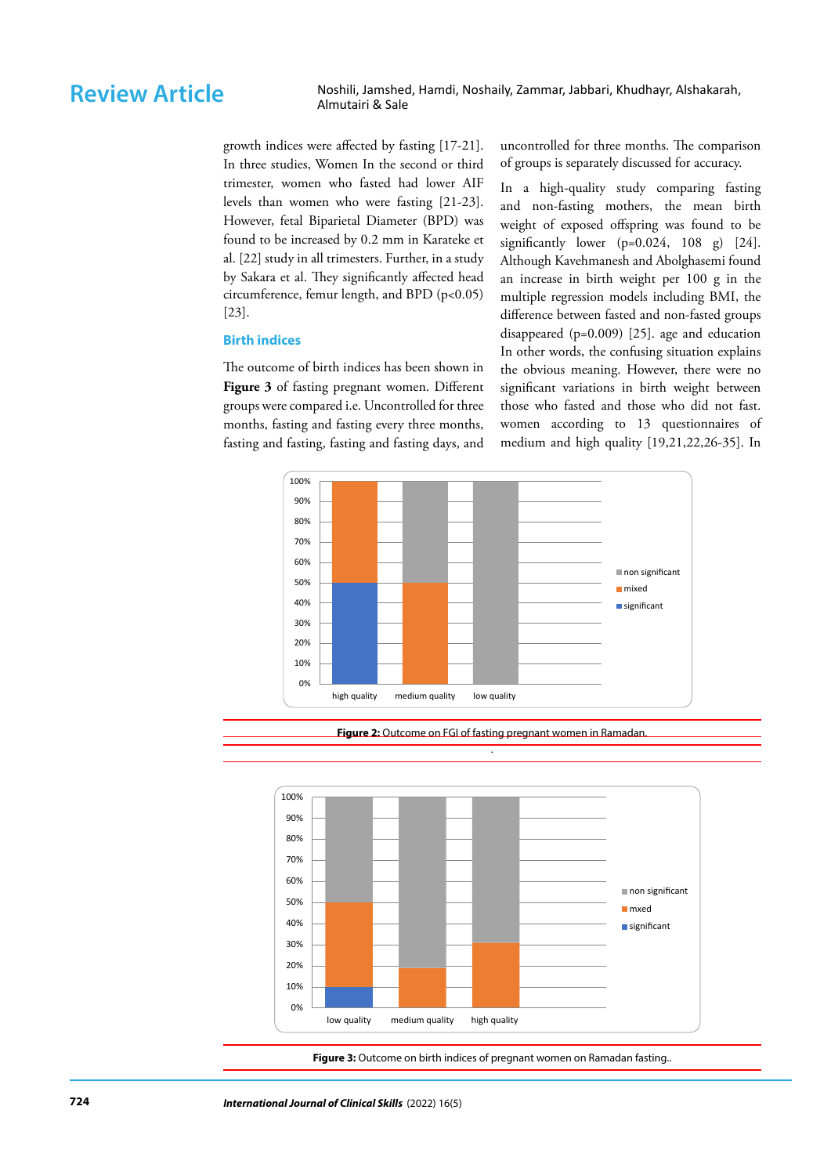Review Article Noshili, Jamshed, Hamdi, Noshaily, Zammar, Jabbari, Khudhayr, Alshakarah, Almutairi & Sale

> growth indices were affected by fasting [17-21]. In three studies, Women In the second or third trimester, women who fasted had lower AIF levels than women who were fasting [21-23]. However, fetal Biparietal Diameter (BPD) was found to be increased by 0.2 mm in Karateke et al. [22] study in all trimesters. Further, in a study by Sakara et al. They significantly affected head circumference, femur length, and BPD (p<0.05) [23].

### **Birth indices**

The outcome of birth indices has been shown in **Figure 3** of fasting pregnant women. Different groups were compared i.e. Uncontrolled for three months, fasting and fasting every three months, fasting and fasting, fasting and fasting days, and uncontrolled for three months. The comparison of groups is separately discussed for accuracy.

In a high-quality study comparing fasting and non-fasting mothers, the mean birth weight of exposed offspring was found to be significantly lower  $(p=0.024, 108 \text{ g})$  [24]. Although Kavehmanesh and Abolghasemi found an increase in birth weight per 100 g in the multiple regression models including BMI, the difference between fasted and non-fasted groups disappeared (p=0.009) [25]. age and education In other words, the confusing situation explains the obvious meaning. However, there were no significant variations in birth weight between those who fasted and those who did not fast. women according to 13 questionnaires of medium and high quality [19,21,22,26-35]. In



**Figure 2:** Outcome on FGI of fasting pregnant women in Ramadan. .



**Figure 3:** Outcome on birth indices of pregnant women on Ramadan fasting..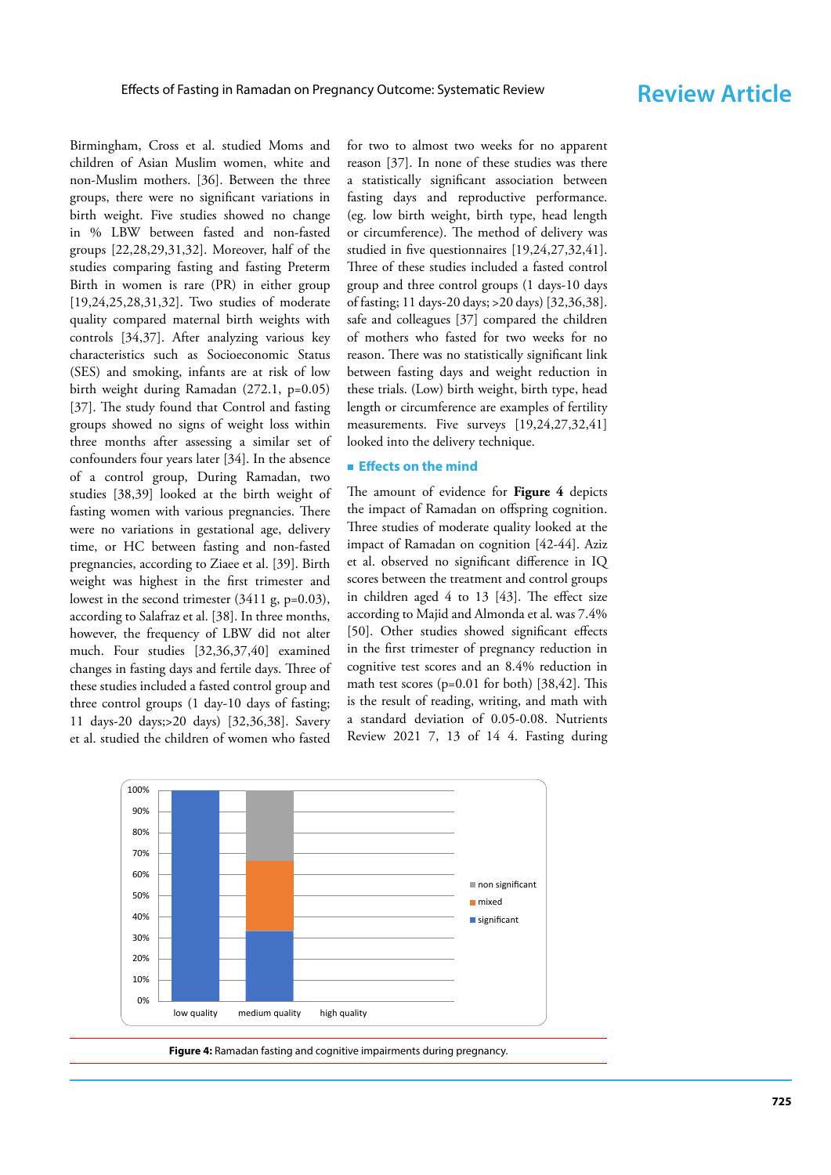Birmingham, Cross et al. studied Moms and children of Asian Muslim women, white and non-Muslim mothers. [36]. Between the three groups, there were no significant variations in birth weight. Five studies showed no change in % LBW between fasted and non-fasted groups [22,28,29,31,32]. Moreover, half of the studies comparing fasting and fasting Preterm Birth in women is rare (PR) in either group [19,24,25,28,31,32]. Two studies of moderate quality compared maternal birth weights with controls [34,37]. After analyzing various key characteristics such as Socioeconomic Status (SES) and smoking, infants are at risk of low birth weight during Ramadan (272.1, p=0.05) [37]. The study found that Control and fasting groups showed no signs of weight loss within three months after assessing a similar set of confounders four years later [34]. In the absence of a control group, During Ramadan, two studies [38,39] looked at the birth weight of fasting women with various pregnancies. There were no variations in gestational age, delivery time, or HC between fasting and non-fasted pregnancies, according to Ziaee et al. [39]. Birth weight was highest in the first trimester and lowest in the second trimester (3411 g, p=0.03), according to Salafraz et al. [38]. In three months, however, the frequency of LBW did not alter much. Four studies [32,36,37,40] examined changes in fasting days and fertile days. Three of these studies included a fasted control group and three control groups (1 day-10 days of fasting; 11 days-20 days;>20 days) [32,36,38]. Savery et al. studied the children of women who fasted

for two to almost two weeks for no apparent reason [37]. In none of these studies was there a statistically significant association between fasting days and reproductive performance. (eg. low birth weight, birth type, head length or circumference). The method of delivery was studied in five questionnaires [19,24,27,32,41]. Three of these studies included a fasted control group and three control groups (1 days-10 days of fasting; 11 days-20 days; >20 days) [32,36,38]. safe and colleagues [37] compared the children of mothers who fasted for two weeks for no reason. There was no statistically significant link between fasting days and weight reduction in these trials. (Low) birth weight, birth type, head length or circumference are examples of fertility measurements. Five surveys [19,24,27,32,41] looked into the delivery technique.

### **Effects on the mind**

The amount of evidence for **Figure 4** depicts the impact of Ramadan on offspring cognition. Three studies of moderate quality looked at the impact of Ramadan on cognition [42-44]. Aziz et al. observed no significant difference in IQ scores between the treatment and control groups in children aged 4 to 13 [43]. The effect size according to Majid and Almonda et al. was 7.4% [50]. Other studies showed significant effects in the first trimester of pregnancy reduction in cognitive test scores and an 8.4% reduction in math test scores (p=0.01 for both) [38,42]. This is the result of reading, writing, and math with a standard deviation of 0.05-0.08. Nutrients Review 2021 7, 13 of 14 4. Fasting during



**Figure 4:** Ramadan fasting and cognitive impairments during pregnancy.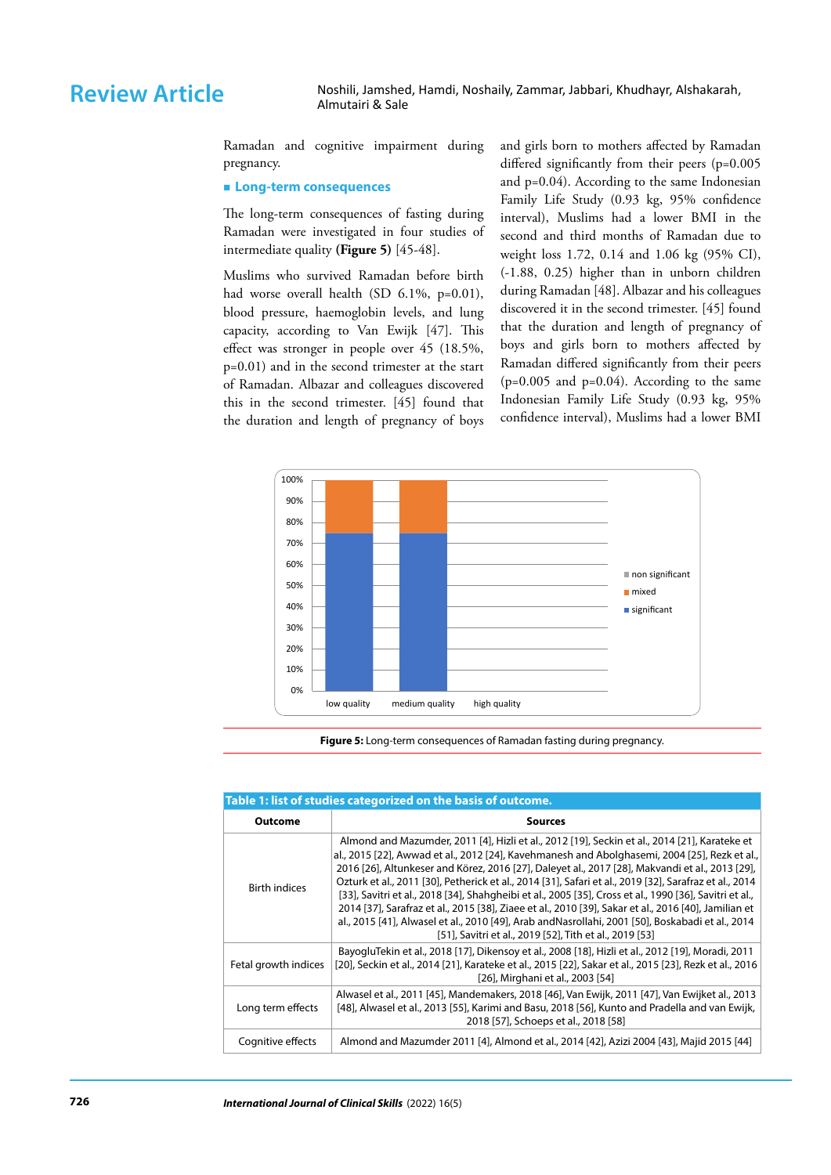Review Article Noshili, Jamshed, Hamdi, Noshaily, Zammar, Jabbari, Khudhayr, Alshakarah, Almutairi & Sale

> Ramadan and cognitive impairment during pregnancy.

### **Long-term consequences**

The long-term consequences of fasting during Ramadan were investigated in four studies of intermediate quality **(Figure 5)** [45-48].

Muslims who survived Ramadan before birth had worse overall health (SD 6.1%, p=0.01), blood pressure, haemoglobin levels, and lung capacity, according to Van Ewijk [47]. This effect was stronger in people over 45 (18.5%, p=0.01) and in the second trimester at the start of Ramadan. Albazar and colleagues discovered this in the second trimester. [45] found that the duration and length of pregnancy of boys

and girls born to mothers affected by Ramadan differed significantly from their peers (p=0.005 and p=0.04). According to the same Indonesian Family Life Study (0.93 kg, 95% confidence interval), Muslims had a lower BMI in the second and third months of Ramadan due to weight loss 1.72, 0.14 and 1.06 kg (95% CI), (-1.88, 0.25) higher than in unborn children during Ramadan [48]. Albazar and his colleagues discovered it in the second trimester. [45] found that the duration and length of pregnancy of boys and girls born to mothers affected by Ramadan differed significantly from their peers  $(p=0.005$  and  $p=0.04$ ). According to the same Indonesian Family Life Study (0.93 kg, 95% confidence interval), Muslims had a lower BMI



**Figure 5:** Long-term consequences of Ramadan fasting during pregnancy.

| Table 1:11st of studies categorized on the basis of outcome. |                                                                                                                                                                                                                                                                                                                                                                                                                                                                                                                                                                                                                                                                                                                                                                                                |
|--------------------------------------------------------------|------------------------------------------------------------------------------------------------------------------------------------------------------------------------------------------------------------------------------------------------------------------------------------------------------------------------------------------------------------------------------------------------------------------------------------------------------------------------------------------------------------------------------------------------------------------------------------------------------------------------------------------------------------------------------------------------------------------------------------------------------------------------------------------------|
| <b>Outcome</b>                                               | <b>Sources</b>                                                                                                                                                                                                                                                                                                                                                                                                                                                                                                                                                                                                                                                                                                                                                                                 |
| <b>Birth indices</b>                                         | Almond and Mazumder, 2011 [4], Hizli et al., 2012 [19], Seckin et al., 2014 [21], Karateke et<br>al., 2015 [22], Awwad et al., 2012 [24], Kavehmanesh and Abolghasemi, 2004 [25], Rezk et al.,<br>2016 [26], Altunkeser and Körez, 2016 [27], Daleyet al., 2017 [28], Makvandi et al., 2013 [29],<br>Ozturk et al., 2011 [30], Petherick et al., 2014 [31], Safari et al., 2019 [32], Sarafraz et al., 2014<br>[33], Savitri et al., 2018 [34], Shahqheibi et al., 2005 [35], Cross et al., 1990 [36], Savitri et al.,<br>2014 [37], Sarafraz et al., 2015 [38], Ziaee et al., 2010 [39], Sakar et al., 2016 [40], Jamilian et<br>al., 2015 [41], Alwasel et al., 2010 [49], Arab and Nasrollahi, 2001 [50], Boskabadi et al., 2014<br>[51], Savitri et al., 2019 [52], Tith et al., 2019 [53] |
| Fetal growth indices                                         | BayogluTekin et al., 2018 [17], Dikensoy et al., 2008 [18], Hizli et al., 2012 [19], Moradi, 2011<br>[20], Seckin et al., 2014 [21], Karateke et al., 2015 [22], Sakar et al., 2015 [23], Rezk et al., 2016<br>[26], Mirghani et al., 2003 [54]                                                                                                                                                                                                                                                                                                                                                                                                                                                                                                                                                |
| Long term effects                                            | Alwasel et al., 2011 [45], Mandemakers, 2018 [46], Van Ewijk, 2011 [47], Van Ewijket al., 2013<br>[48], Alwasel et al., 2013 [55], Karimi and Basu, 2018 [56], Kunto and Pradella and van Ewijk,<br>2018 [57], Schoeps et al., 2018 [58]                                                                                                                                                                                                                                                                                                                                                                                                                                                                                                                                                       |
| Cognitive effects                                            | Almond and Mazumder 2011 [4], Almond et al., 2014 [42], Azizi 2004 [43], Majid 2015 [44]                                                                                                                                                                                                                                                                                                                                                                                                                                                                                                                                                                                                                                                                                                       |

### **Table 1: list of studies categorized on the basis of outcome.**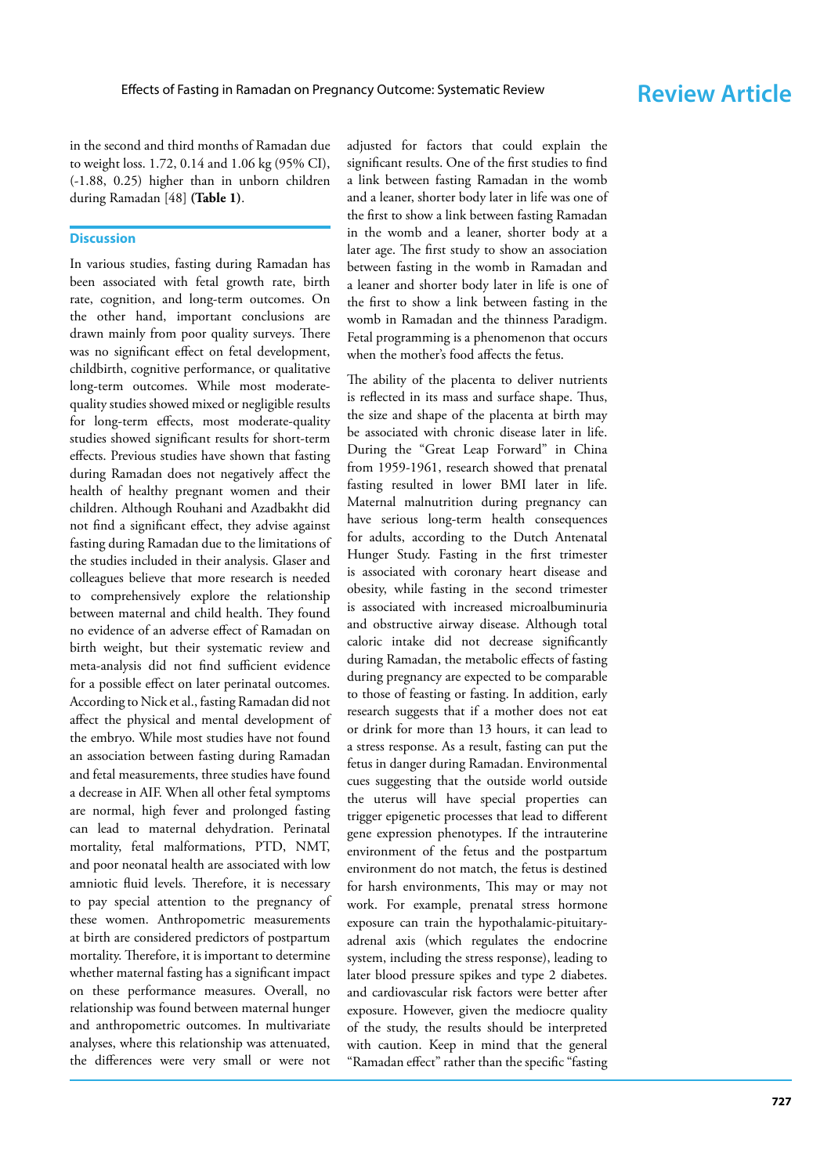in the second and third months of Ramadan due to weight loss. 1.72, 0.14 and 1.06 kg (95% CI), (-1.88, 0.25) higher than in unborn children during Ramadan [48] **(Table 1)** .

# **Discussion**

In various studies, fasting during Ramadan has been associated with fetal growth rate, birth rate, cognition, and long-term outcomes. On the other hand, important conclusions are drawn mainly from poor quality surveys. There was no significant effect on fetal development, childbirth, cognitive performance, or qualitative long-term outcomes. While most moderatequality studies showed mixed or negligible results for long-term effects, most moderate-quality studies showed significant results for short-term effects. Previous studies have shown that fasting during Ramadan does not negatively affect the health of healthy pregnant women and their children. Although Rouhani and Azadbakht did not find a significant effect, they advise against fasting during Ramadan due to the limitations of the studies included in their analysis. Glaser and colleagues believe that more research is needed to comprehensively explore the relationship between maternal and child health. They found no evidence of an adverse effect of Ramadan on birth weight, but their systematic review and meta-analysis did not find sufficient evidence for a possible effect on later perinatal outcomes. According to Nick et al., fasting Ramadan did not affect the physical and mental development of the embryo. While most studies have not found an association between fasting during Ramadan and fetal measurements, three studies have found a decrease in AIF. When all other fetal symptoms are normal, high fever and prolonged fasting can lead to maternal dehydration. Perinatal mortality, fetal malformations, PTD, NMT, and poor neonatal health are associated with low amniotic fluid levels. Therefore, it is necessary to pay special attention to the pregnancy of these women. Anthropometric measurements at birth are considered predictors of postpartum mortality. Therefore, it is important to determine whether maternal fasting has a significant impact on these performance measures. Overall, no relationship was found between maternal hunger and anthropometric outcomes. In multivariate analyses, where this relationship was attenuated, the differences were very small or were not

adjusted for factors that could explain the significant results. One of the first studies to find a link between fasting Ramadan in the womb and a leaner, shorter body later in life was one of the first to show a link between fasting Ramadan in the womb and a leaner, shorter body at a later age. The first study to show an association between fasting in the womb in Ramadan and a leaner and shorter body later in life is one of the first to show a link between fasting in the womb in Ramadan and the thinness Paradigm. Fetal programming is a phenomenon that occurs when the mother's food affects the fetus.

The ability of the placenta to deliver nutrients is reflected in its mass and surface shape. Thus, the size and shape of the placenta at birth may be associated with chronic disease later in life. During the "Great Leap Forward" in China from 1959-1961, research showed that prenatal fasting resulted in lower BMI later in life. Maternal malnutrition during pregnancy can have serious long-term health consequences for adults, according to the Dutch Antenatal Hunger Study. Fasting in the first trimester is associated with coronary heart disease and obesity, while fasting in the second trimester is associated with increased microalbuminuria and obstructive airway disease. Although total caloric intake did not decrease significantly during Ramadan, the metabolic effects of fasting during pregnancy are expected to be comparable to those of feasting or fasting. In addition, early research suggests that if a mother does not eat or drink for more than 13 hours, it can lead to a stress response. As a result, fasting can put the fetus in danger during Ramadan. Environmental cues suggesting that the outside world outside the uterus will have special properties can trigger epigenetic processes that lead to different gene expression phenotypes. If the intrauterine environment of the fetus and the postpartum environment do not match, the fetus is destined for harsh environments, This may or may not work. For example, prenatal stress hormone exposure can train the hypothalamic-pituitaryadrenal axis (which regulates the endocrine system, including the stress response), leading to later blood pressure spikes and type 2 diabetes. and cardiovascular risk factors were better after exposure. However, given the mediocre quality of the study, the results should be interpreted with caution. Keep in mind that the general "Ramadan effect" rather than the specific "fasting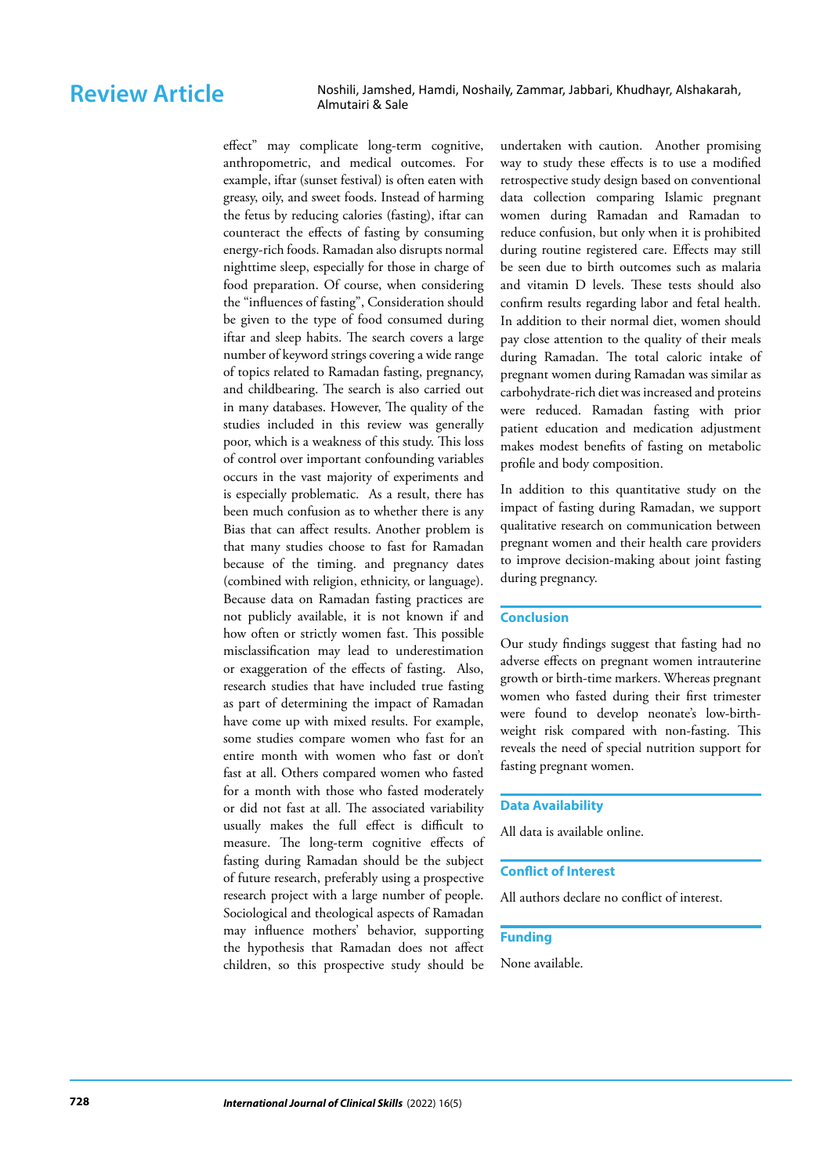effect" may complicate long-term cognitive, anthropometric, and medical outcomes. For example, iftar (sunset festival) is often eaten with greasy, oily, and sweet foods. Instead of harming the fetus by reducing calories (fasting), iftar can counteract the effects of fasting by consuming energy-rich foods. Ramadan also disrupts normal nighttime sleep, especially for those in charge of food preparation. Of course, when considering the "influences of fasting", Consideration should be given to the type of food consumed during iftar and sleep habits. The search covers a large number of keyword strings covering a wide range of topics related to Ramadan fasting, pregnancy, and childbearing. The search is also carried out in many databases. However, The quality of the studies included in this review was generally poor, which is a weakness of this study. This loss of control over important confounding variables occurs in the vast majority of experiments and is especially problematic. As a result, there has been much confusion as to whether there is any Bias that can affect results. Another problem is that many studies choose to fast for Ramadan because of the timing. and pregnancy dates (combined with religion, ethnicity, or language). Because data on Ramadan fasting practices are not publicly available, it is not known if and how often or strictly women fast. This possible misclassification may lead to underestimation or exaggeration of the effects of fasting. Also, research studies that have included true fasting as part of determining the impact of Ramadan have come up with mixed results. For example, some studies compare women who fast for an entire month with women who fast or don't fast at all. Others compared women who fasted for a month with those who fasted moderately or did not fast at all. The associated variability usually makes the full effect is difficult to measure. The long-term cognitive effects of fasting during Ramadan should be the subject of future research, preferably using a prospective research project with a large number of people. Sociological and theological aspects of Ramadan may influence mothers' behavior, supporting the hypothesis that Ramadan does not affect children, so this prospective study should be

undertaken with caution. Another promising way to study these effects is to use a modified retrospective study design based on conventional data collection comparing Islamic pregnant women during Ramadan and Ramadan to reduce confusion, but only when it is prohibited during routine registered care. Effects may still be seen due to birth outcomes such as malaria and vitamin D levels. These tests should also confirm results regarding labor and fetal health. In addition to their normal diet, women should pay close attention to the quality of their meals during Ramadan. The total caloric intake of pregnant women during Ramadan was similar as carbohydrate-rich diet was increased and proteins were reduced. Ramadan fasting with prior patient education and medication adjustment makes modest benefits of fasting on metabolic profile and body composition.

In addition to this quantitative study on the impact of fasting during Ramadan, we support qualitative research on communication between pregnant women and their health care providers to improve decision-making about joint fasting during pregnancy.

## **Conclusion**

Our study findings suggest that fasting had no adverse effects on pregnant women intrauterine growth or birth-time markers. Whereas pregnant women who fasted during their first trimester were found to develop neonate's low-birthweight risk compared with non-fasting. This reveals the need of special nutrition support for fasting pregnant women.

### **Data Availability**

All data is available online.

### **Conflict of Interest**

All authors declare no conflict of interest.

# **Funding**

None available.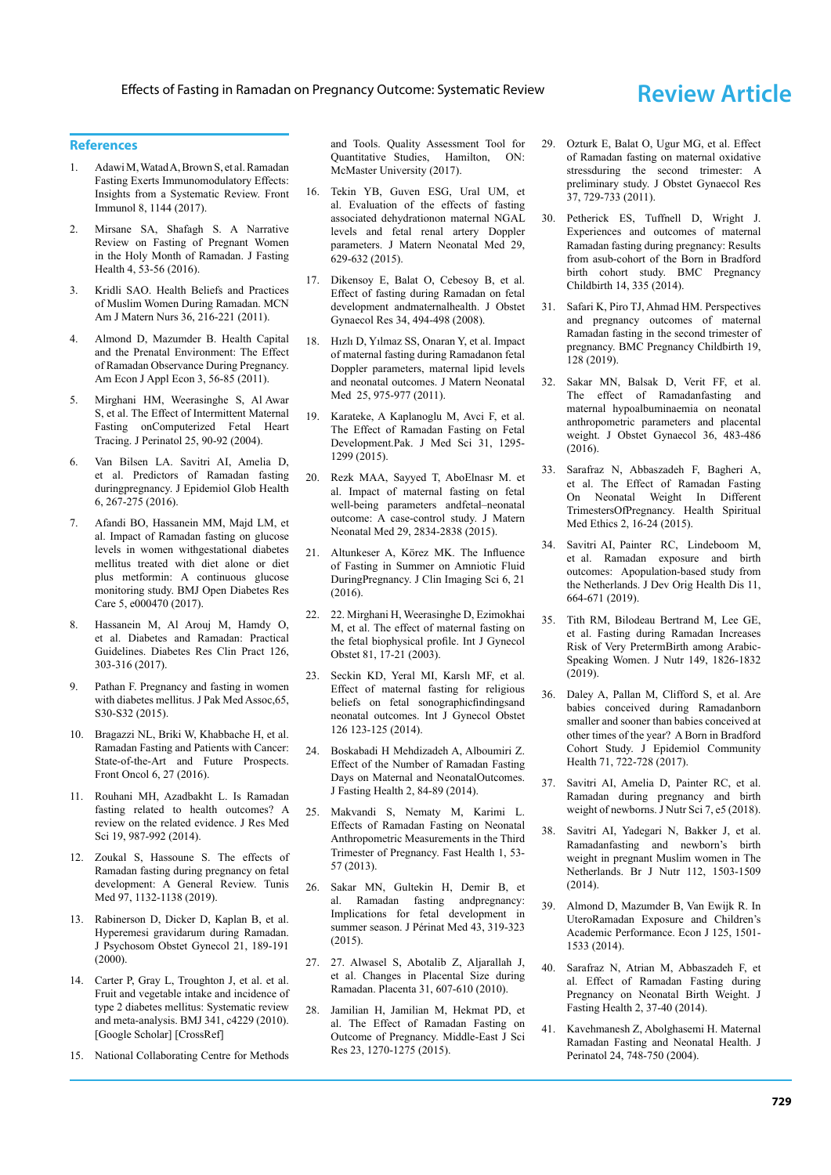### **References**

- 1. Adawi M, Watad A, Brown S, et al. [Ramadan](https://www.frontiersin.org/articles/10.3389/fimmu.2017.01144/full?fbclid=IwAR0nS2tjRZMNqYYk3VqbTB4MCVvUKzILrub4IwEEudaqmkAqE25wHQR_Vl4) [Fasting Exerts Immunomodulatory Effects:](https://www.frontiersin.org/articles/10.3389/fimmu.2017.01144/full?fbclid=IwAR0nS2tjRZMNqYYk3VqbTB4MCVvUKzILrub4IwEEudaqmkAqE25wHQR_Vl4) [Insights from a Systematic Review.](https://www.frontiersin.org/articles/10.3389/fimmu.2017.01144/full?fbclid=IwAR0nS2tjRZMNqYYk3VqbTB4MCVvUKzILrub4IwEEudaqmkAqE25wHQR_Vl4) Front Immunol 8, 1144 (2017).
- 2. Mirsane SA, Shafagh S. [A Narrative](http://eprints.mums.ac.ir/3945/) [Review on Fasting of Pregnant Women](http://eprints.mums.ac.ir/3945/) [in the Holy Month of Ramadan.](http://eprints.mums.ac.ir/3945/) J Fasting Health 4, 53-56 (2016).
- 3. Kridli SAO. [Health Beliefs and Practices](https://journals.lww.com/mcnjournal/FullText/2011/07000/Health_Beliefs_and_Practices_of_Muslim_Women.3.aspx) [of Muslim Women During Ramadan.](https://journals.lww.com/mcnjournal/FullText/2011/07000/Health_Beliefs_and_Practices_of_Muslim_Women.3.aspx) MCN Am J Matern Nurs 36, 216-221 (2011).
- 4. Almond D, Mazumder B. [Health Capital](https://www.aeaweb.org/articles?id=10.1257/app.3.4.56) [and the Prenatal Environment: The Effect](https://www.aeaweb.org/articles?id=10.1257/app.3.4.56) [of Ramadan Observance During Pregnancy](https://www.aeaweb.org/articles?id=10.1257/app.3.4.56). Am Econ J Appl Econ 3, 56-85 (2011).
- 5. Mirghani HM, Weerasinghe S, Al Awar S, et al. [The Effect of Intermittent Maternal](https://www.tandfonline.com/doi/abs/10.1080/01443610400007844) [Fasting onComputerized Fetal Heart](https://www.tandfonline.com/doi/abs/10.1080/01443610400007844) [Tracing.](https://www.tandfonline.com/doi/abs/10.1080/01443610400007844) J Perinatol 25, 90-92 (2004).
- 6. Van Bilsen LA. Savitri AI, Amelia D, et al. [Predictors of Ramadan fasting](https://www.sciencedirect.com/science/article/pii/S221060061630034X) [duringpregnancy.](https://www.sciencedirect.com/science/article/pii/S221060061630034X) J Epidemiol Glob Health 6, 267-275 (2016).
- 7. Afandi BO, Hassanein MM, Majd LM, et al. [Impact of Ramadan fasting on glucose](https://drc.bmj.com/content/5/1/e000470) [levels in women withgestational diabetes](https://drc.bmj.com/content/5/1/e000470) [mellitus treated with diet alone or diet](https://drc.bmj.com/content/5/1/e000470) [plus metformin: A continuous glucose](https://drc.bmj.com/content/5/1/e000470) [monitoring study.](https://drc.bmj.com/content/5/1/e000470) BMJ Open Diabetes Res Care 5, e000470 (2017).
- 8. Hassanein M, Al Arouj M, Hamdy O, et al. [Diabetes and Ramadan: Practical](https://www.sciencedirect.com/science/article/pii/S0168822717303388) [Guidelines.](https://www.sciencedirect.com/science/article/pii/S0168822717303388) Diabetes Res Clin Pract 126, 303-316 (2017).
- 9. Pathan F. [Pregnancy and fasting in women](https://www.jpma.org.pk/supplement-article-details/184) [with diabetes mellitus.](https://www.jpma.org.pk/supplement-article-details/184) J Pak Med Assoc,65, S30-S32 (2015).
- 10. Bragazzi NL, Briki W, Khabbache H, et al. [Ramadan Fasting and Patients with Cancer:](https://www.frontiersin.org/articles/10.3389/fonc.2016.00027/full) [State-of-the-Art and Future Prospects](https://www.frontiersin.org/articles/10.3389/fonc.2016.00027/full). Front Oncol 6, 27 (2016).
- 11. Rouhani MH, Azadbakht L. [Is Ramadan](https://www.ncbi.nlm.nih.gov/pmc/articles/pmc4274578/) [fasting related to health outcomes? A](https://www.ncbi.nlm.nih.gov/pmc/articles/pmc4274578/) [review on the related evidence.](https://www.ncbi.nlm.nih.gov/pmc/articles/pmc4274578/) J Res Med Sci 19, 987-992 (2014).
- 12. Zoukal S, Hassoune S. [The effects of](https://www.mdpi.com/1292106) [Ramadan fasting during pregnancy on fetal](https://www.mdpi.com/1292106) [development: A General Review.](https://www.mdpi.com/1292106) Tunis Med 97, 1132-1138 (2019).
- 13. Rabinerson D, Dicker D, Kaplan B, et al. [Hyperemesi gravidarum during Ramadan](https://www.tandfonline.com/doi/abs/10.3109/01674820009085587). J Psychosom Obstet Gynecol 21, 189-191 (2000).
- 14. Carter P, Gray L, Troughton J, et al. et al. [Fruit and vegetable intake and incidence of](https://www.bmj.com/content/341/bmj.c4229.short) [type 2 diabetes mellitus: Systematic review](https://www.bmj.com/content/341/bmj.c4229.short) [and meta-analysis](https://www.bmj.com/content/341/bmj.c4229.short). BMJ 341, c4229 (2010). [[Google Scholar\]](https://scholar.google.com/scholar?hl=en&as_sdt=0%2C5&q=Carter+P%2C+Gray+L%2C+Troughton+J%2C+et+al.+et+al.+Fruit+and+vegetable+intake+and+incidence+of+type+2+diabetes+mellitus%3A+Systematic+review+and+meta-analysis.+&btnG=) [[CrossRef\]](https://doi.org/10.1136/bmj.c4229)
- 15. National Collaborating Centre for Methods

and Tools. [Quality Assessment Tool for](https://www.nccmt.ca/registry/resource/pdf/14.pdf) [Quantitative Studies,](https://www.nccmt.ca/registry/resource/pdf/14.pdf) Hamilton, ON: McMaster University (2017).

- 16. Tekin YB, Guven ESG, Ural UM, et al. [Evaluation of the effects of fasting](https://www.tandfonline.com/doi/abs/10.3109/14767058.2015.1014789) [associated dehydrationon maternal NGAL](https://www.tandfonline.com/doi/abs/10.3109/14767058.2015.1014789) [levels and fetal renal artery Doppler](https://www.tandfonline.com/doi/abs/10.3109/14767058.2015.1014789) [parameters](https://www.tandfonline.com/doi/abs/10.3109/14767058.2015.1014789). J Matern Neonatal Med 29, 629-632 (2015).
- 17. Dikensoy E, Balat O, Cebesoy B, et al. [Effect of fasting during Ramadan on fetal](https://obgyn.onlinelibrary.wiley.com/doi/abs/10.1111/j.1447-0756.2008.00814.x) [development andmaternalhealth.](https://obgyn.onlinelibrary.wiley.com/doi/abs/10.1111/j.1447-0756.2008.00814.x) J Obstet Gynaecol Res 34, 494-498 (2008).
- 18. Hızlı D, Yılmaz SS, Onaran Y, et al. [Impact](https://www.tandfonline.com/doi/abs/10.3109/14767058.2011.602142) [of maternal fasting during Ramadanon fetal](https://www.tandfonline.com/doi/abs/10.3109/14767058.2011.602142) [Doppler parameters, maternal lipid levels](https://www.tandfonline.com/doi/abs/10.3109/14767058.2011.602142) [and neonatal outcomes.](https://www.tandfonline.com/doi/abs/10.3109/14767058.2011.602142) J Matern Neonatal Med 25, 975-977 (2011).
- 19. Karateke, A Kaplanoglu M, Avci F, et al. [The Effect of Ramadan Fasting on Fetal](https://pesquisa.bvsalud.org/portal/resource/pt/emr-175097) [Development.Pak.](https://pesquisa.bvsalud.org/portal/resource/pt/emr-175097) J Med Sci 31, 1295- 1299 (2015).
- 20. Rezk MAA, Sayyed T, AboElnasr M. et al. [Impact of maternal fasting on fetal](https://www.tandfonline.com/doi/abs/10.3109/14767058.2015.1105955) [well-being parameters andfetal–neonatal](https://www.tandfonline.com/doi/abs/10.3109/14767058.2015.1105955) [outcome: A case-control study.](https://www.tandfonline.com/doi/abs/10.3109/14767058.2015.1105955) J Matern Neonatal Med 29, 2834-2838 (2015).
- 21. Altunkeser A, Körez MK. [The Influence](https://www.ncbi.nlm.nih.gov/pmc/articles/PMC4901837/) [of Fasting in Summer on Amniotic Fluid](https://www.ncbi.nlm.nih.gov/pmc/articles/PMC4901837/) [DuringPregnancy.](https://www.ncbi.nlm.nih.gov/pmc/articles/PMC4901837/) J Clin Imaging Sci 6, 21  $(2016)$
- 22. Mirghani H, Weerasinghe D, Ezimokhai M, et al. [The effect of maternal fasting on](https://www.sciencedirect.com/science/article/pii/S0020729202003983) [the fetal biophysical profile.](https://www.sciencedirect.com/science/article/pii/S0020729202003983) Int J Gynecol Obstet 81, 17-21 (2003).
- 23. Seckin KD, Yeral MI, Karslı MF, et al. [Effect of maternal fasting for religious](https://www.sciencedirect.com/science/article/pii/S0020729214001970) [beliefs on fetal sonographicfindingsand](https://www.sciencedirect.com/science/article/pii/S0020729214001970) [neonatal outcomes.](https://www.sciencedirect.com/science/article/pii/S0020729214001970) Int J Gynecol Obstet 126 123-125 (2014).
- 24. Boskabadi H Mehdizadeh A, Alboumiri Z. [Effect of the Number of Ramadan Fasting](https://www.sid.ir/en/Journal/ViewPaper.aspx?ID=471647) [Days on Maternal and NeonatalOutcomes.](https://www.sid.ir/en/Journal/ViewPaper.aspx?ID=471647) J Fasting Health 2, 84-89 (2014).
- 25. Makvandi S, Nematy M, Karimi L. [Effects of Ramadan Fasting on Neonatal](http://eprints.mums.ac.ir/4965/) [Anthropometric Measurements in the Third](http://eprints.mums.ac.ir/4965/) [Trimester of Pregnancy.](http://eprints.mums.ac.ir/4965/) Fast Health 1, 53- 57 (2013).
- 26. Sakar MN, Gultekin H, Demir B, et al. [Ramadan fasting andpregnancy:](https://www.degruyter.com/document/doi/10.1515/jpm-2013-0289/html) [Implications for fetal development in](https://www.degruyter.com/document/doi/10.1515/jpm-2013-0289/html) [summer season.](https://www.degruyter.com/document/doi/10.1515/jpm-2013-0289/html) J Périnat Med 43, 319-323 (2015).
- 27. 27. Alwasel S, Abotalib Z, Aljarallah J, et al. [Changes in Placental Size during](https://www.sciencedirect.com/science/article/pii/S0143400410001694) [Ramadan.](https://www.sciencedirect.com/science/article/pii/S0143400410001694) Placenta 31, 607-610 (2010).
- 28. Jamilian H, Jamilian M, Hekmat PD, et al. [The Effect of Ramadan Fasting on](https://www.cabdirect.org/globalhealth/abstract/20153269396) [Outcome of Pregnancy.](https://www.cabdirect.org/globalhealth/abstract/20153269396) Middle-East J Sci Res 23, 1270-1275 (2015).
- 29. Ozturk E, Balat O, Ugur MG, et al. [Effect](https://obgyn.onlinelibrary.wiley.com/doi/abs/10.1111/j.1447-0756.2010.01419.x) [of Ramadan fasting on maternal oxidative](https://obgyn.onlinelibrary.wiley.com/doi/abs/10.1111/j.1447-0756.2010.01419.x) [stressduring the second trimester: A](https://obgyn.onlinelibrary.wiley.com/doi/abs/10.1111/j.1447-0756.2010.01419.x) [preliminary study.](https://obgyn.onlinelibrary.wiley.com/doi/abs/10.1111/j.1447-0756.2010.01419.x) J Obstet Gynaecol Res 37, 729-733 (2011).
- 30. Petherick ES, Tuffnell D, Wright J. [Experiences and outcomes of maternal](https://bmcpregnancychildbirth.biomedcentral.com/articles/10.1186/1471-2393-14-335) [Ramadan fasting during pregnancy: Results](https://bmcpregnancychildbirth.biomedcentral.com/articles/10.1186/1471-2393-14-335) [from asub-cohort of the Born in Bradford](https://bmcpregnancychildbirth.biomedcentral.com/articles/10.1186/1471-2393-14-335) [birth cohort study](https://bmcpregnancychildbirth.biomedcentral.com/articles/10.1186/1471-2393-14-335). BMC Pregnancy Childbirth 14, 335 (2014).
- 31. Safari K, Piro TJ, Ahmad HM. [Perspectives](https://link.springer.com/article/10.1186/s12884-019-2275-x) [and pregnancy outcomes of maternal](https://link.springer.com/article/10.1186/s12884-019-2275-x) [Ramadan fasting in the second trimester of](https://link.springer.com/article/10.1186/s12884-019-2275-x) [pregnancy.](https://link.springer.com/article/10.1186/s12884-019-2275-x) BMC Pregnancy Childbirth 19, 128 (2019).
- 32. Sakar MN, Balsak D, Verit FF, et al. [The effect of Ramadanfasting and](https://www.tandfonline.com/doi/abs/10.3109/01443615.2015.1086989) [maternal hypoalbuminaemia on neonatal](https://www.tandfonline.com/doi/abs/10.3109/01443615.2015.1086989) [anthropometric parameters and placental](https://www.tandfonline.com/doi/abs/10.3109/01443615.2015.1086989) [weight.](https://www.tandfonline.com/doi/abs/10.3109/01443615.2015.1086989) J Obstet Gynaecol 36, 483-486  $(2016)$
- 33. Sarafraz N, Abbaszadeh F, Bagheri A, et al. [The Effect of Ramadan Fasting](https://jhsme.muq.ac.ir/article-1-21-en.html) [On Neonatal Weight In Different](https://jhsme.muq.ac.ir/article-1-21-en.html) [TrimestersOfPregnancy.](https://jhsme.muq.ac.ir/article-1-21-en.html) Health Spiritual Med Ethics 2, 16-24 (2015).
- 34. Savitri AI, Painter RC, Lindeboom M, et al. [Ramadan exposure and birth](https://www.cambridge.org/core/journals/journal-of-developmental-origins-of-health-and-disease/article/ramadan-exposure-and-birth-outcomes-a-populationbased-study-from-the-netherlands/B63D37EDD78063C6F14BFD865D029463) [outcomes: Apopulation-based study from](https://www.cambridge.org/core/journals/journal-of-developmental-origins-of-health-and-disease/article/ramadan-exposure-and-birth-outcomes-a-populationbased-study-from-the-netherlands/B63D37EDD78063C6F14BFD865D029463) [the Netherlands.](https://www.cambridge.org/core/journals/journal-of-developmental-origins-of-health-and-disease/article/ramadan-exposure-and-birth-outcomes-a-populationbased-study-from-the-netherlands/B63D37EDD78063C6F14BFD865D029463) J Dev Orig Health Dis 11, 664-671 (2019).
- 35. Tith RM, Bilodeau Bertrand M, Lee GE, et al. [Fasting during Ramadan Increases](https://academic.oup.com/jn/article-abstract/149/10/1826/5518964) [Risk of Very PretermBirth among Arabic-](https://academic.oup.com/jn/article-abstract/149/10/1826/5518964)[Speaking Women.](https://academic.oup.com/jn/article-abstract/149/10/1826/5518964) J Nutr 149, 1826-1832  $(2019)$
- 36. Daley A, Pallan M, Clifford S, et al. [Are](https://jech.bmj.com/content/71/7/722.abstract) [babies conceived during Ramadanborn](https://jech.bmj.com/content/71/7/722.abstract) [smaller and sooner than babies conceived at](https://jech.bmj.com/content/71/7/722.abstract) [other times of the year? A Born in Bradford](https://jech.bmj.com/content/71/7/722.abstract) [Cohort Study](https://jech.bmj.com/content/71/7/722.abstract). J Epidemiol Community Health 71, 722-728 (2017).
- 37. Savitri AI, Amelia D, Painter RC, et al. [Ramadan during pregnancy and birth](https://www.cambridge.org/core/journals/journal-of-nutritional-science/article/ramadan-during-pregnancy-and-birth-weight-of-newborns/4AA20685660727027EBF923AAB14277D) [weight of newborns.](https://www.cambridge.org/core/journals/journal-of-nutritional-science/article/ramadan-during-pregnancy-and-birth-weight-of-newborns/4AA20685660727027EBF923AAB14277D) J Nutr Sci 7, e5 (2018).
- 38. Savitri AI, Yadegari N, Bakker J, et al. [Ramadanfasting and newborn's birth](https://www.cambridge.org/core/journals/british-journal-of-nutrition/article/ramadan-fasting-and-newborns-birth-weight-in-pregnant-muslim-women-in-the-netherlands/D5142097D9F7CCAD0049FF397AACC60B) [weight in pregnant Muslim women in The](https://www.cambridge.org/core/journals/british-journal-of-nutrition/article/ramadan-fasting-and-newborns-birth-weight-in-pregnant-muslim-women-in-the-netherlands/D5142097D9F7CCAD0049FF397AACC60B) [Netherlands.](https://www.cambridge.org/core/journals/british-journal-of-nutrition/article/ramadan-fasting-and-newborns-birth-weight-in-pregnant-muslim-women-in-the-netherlands/D5142097D9F7CCAD0049FF397AACC60B) Br J Nutr 112, 1503-1509 (2014).
- 39. Almond D, Mazumder B, Van Ewijk R. [In](https://onlinelibrary.wiley.com/doi/abs/10.1111/ecoj.12168) [UteroRamadan Exposure and Children's](https://onlinelibrary.wiley.com/doi/abs/10.1111/ecoj.12168) [Academic Performance.](https://onlinelibrary.wiley.com/doi/abs/10.1111/ecoj.12168) Econ J 125, 1501- 1533 (2014).
- 40. Sarafraz N, Atrian M, Abbaszadeh F, et al. [Effect of Ramadan Fasting during](https://www.sid.ir/en/Journal/ViewPaper.aspx?ID=471676) [Pregnancy on Neonatal Birth Weight.](https://www.sid.ir/en/Journal/ViewPaper.aspx?ID=471676) J Fasting Health 2, 37-40 (2014).
- 41. Kavehmanesh Z, Abolghasemi H. [Maternal](https://www.nature.com/articles/7211189) [Ramadan Fasting and Neonatal Health.](https://www.nature.com/articles/7211189) J Perinatol 24, 748-750 (2004).